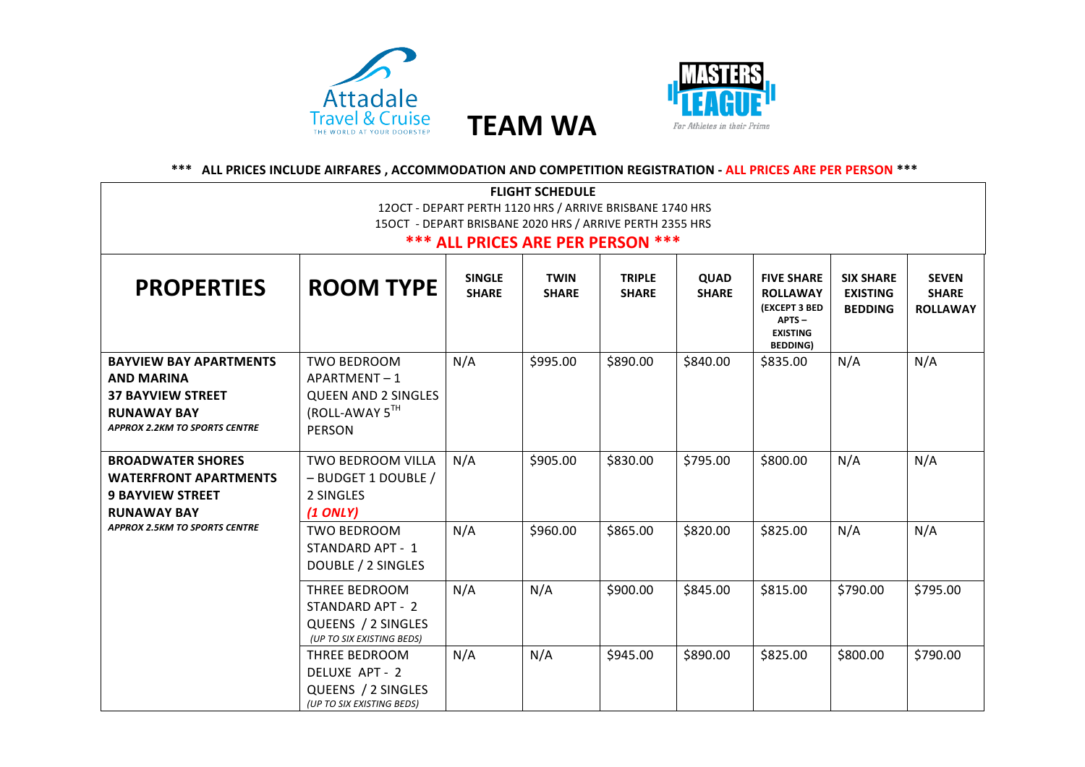



## \*\*\* ALL PRICES INCLUDE AIRFARES, ACCOMMODATION AND COMPETITION REGISTRATION - ALL PRICES ARE PER PERSON \*\*\*

| <b>FLIGHT SCHEDULE</b>                                                                                                                       |                                                                                                    |                               |                             |                               |                             |                                                                                                             |                                                       |                                                 |
|----------------------------------------------------------------------------------------------------------------------------------------------|----------------------------------------------------------------------------------------------------|-------------------------------|-----------------------------|-------------------------------|-----------------------------|-------------------------------------------------------------------------------------------------------------|-------------------------------------------------------|-------------------------------------------------|
| 120CT - DEPART PERTH 1120 HRS / ARRIVE BRISBANE 1740 HRS                                                                                     |                                                                                                    |                               |                             |                               |                             |                                                                                                             |                                                       |                                                 |
| 15OCT - DEPART BRISBANE 2020 HRS / ARRIVE PERTH 2355 HRS                                                                                     |                                                                                                    |                               |                             |                               |                             |                                                                                                             |                                                       |                                                 |
|                                                                                                                                              | <b>*** ALL PRICES ARE PER PERSON ***</b>                                                           |                               |                             |                               |                             |                                                                                                             |                                                       |                                                 |
| <b>PROPERTIES</b>                                                                                                                            | <b>ROOM TYPE</b>                                                                                   | <b>SINGLE</b><br><b>SHARE</b> | <b>TWIN</b><br><b>SHARE</b> | <b>TRIPLE</b><br><b>SHARE</b> | <b>QUAD</b><br><b>SHARE</b> | <b>FIVE SHARE</b><br><b>ROLLAWAY</b><br><b>(EXCEPT 3 BED</b><br>APTS-<br><b>EXISTING</b><br><b>BEDDING)</b> | <b>SIX SHARE</b><br><b>EXISTING</b><br><b>BEDDING</b> | <b>SEVEN</b><br><b>SHARE</b><br><b>ROLLAWAY</b> |
| <b>BAYVIEW BAY APARTMENTS</b><br><b>AND MARINA</b><br><b>37 BAYVIEW STREET</b><br><b>RUNAWAY BAY</b><br><b>APPROX 2.2KM TO SPORTS CENTRE</b> | <b>TWO BEDROOM</b><br>APARTMENT-1<br><b>QUEEN AND 2 SINGLES</b><br>(ROLL-AWAY 5TH<br><b>PERSON</b> | N/A                           | \$995.00                    | \$890.00                      | \$840.00                    | \$835.00                                                                                                    | N/A                                                   | N/A                                             |
| <b>BROADWATER SHORES</b><br><b>WATERFRONT APARTMENTS</b><br><b>9 BAYVIEW STREET</b><br><b>RUNAWAY BAY</b>                                    | TWO BEDROOM VILLA<br>- BUDGET 1 DOUBLE /<br>2 SINGLES<br>$(1$ ONLY)                                | N/A                           | \$905.00                    | \$830.00                      | \$795.00                    | \$800.00                                                                                                    | N/A                                                   | N/A                                             |
| <b>APPROX 2.5KM TO SPORTS CENTRE</b>                                                                                                         | <b>TWO BEDROOM</b><br>STANDARD APT - 1<br>DOUBLE / 2 SINGLES                                       | N/A                           | \$960.00                    | \$865.00                      | \$820.00                    | \$825.00                                                                                                    | N/A                                                   | N/A                                             |
|                                                                                                                                              | THREE BEDROOM<br>STANDARD APT - 2<br>QUEENS / 2 SINGLES<br>(UP TO SIX EXISTING BEDS)               | N/A                           | N/A                         | \$900.00                      | \$845.00                    | \$815.00                                                                                                    | \$790.00                                              | \$795.00                                        |
|                                                                                                                                              | THREE BEDROOM<br>DELUXE APT - 2<br>QUEENS / 2 SINGLES<br>(UP TO SIX EXISTING BEDS)                 | N/A                           | N/A                         | \$945.00                      | \$890.00                    | \$825.00                                                                                                    | \$800.00                                              | \$790.00                                        |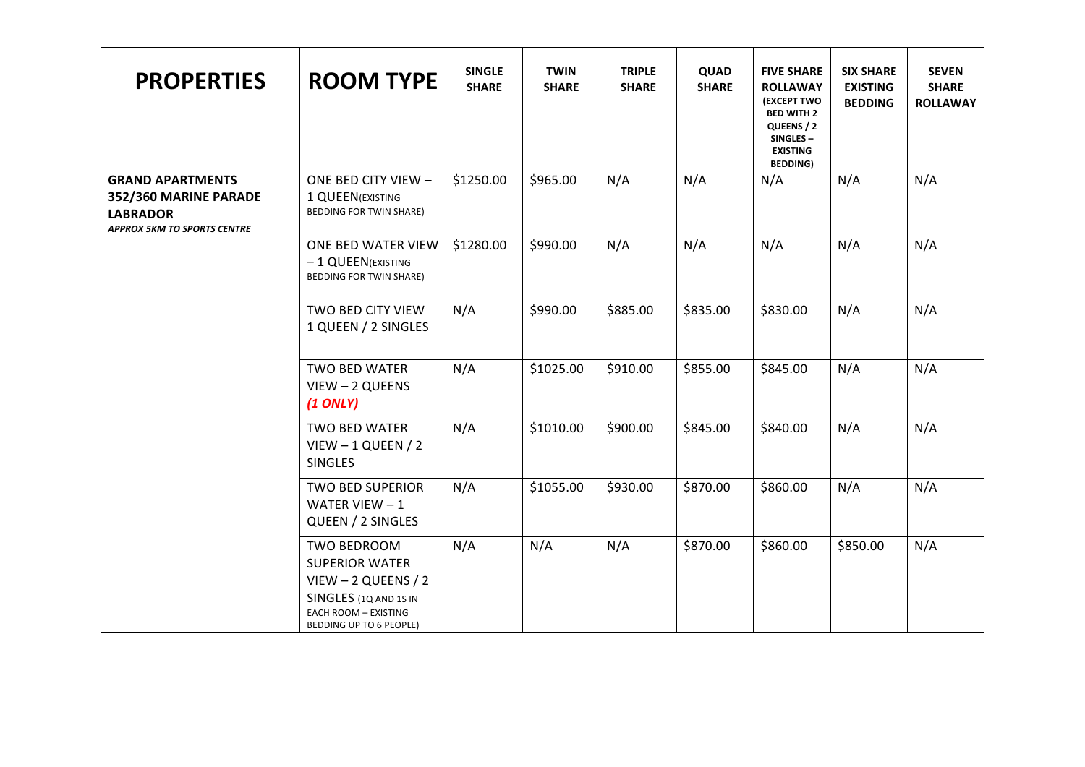| <b>PROPERTIES</b>                                                                                         | <b>ROOM TYPE</b>                                                                                                                                  | <b>SINGLE</b><br><b>SHARE</b> | <b>TWIN</b><br><b>SHARE</b> | <b>TRIPLE</b><br><b>SHARE</b> | QUAD<br><b>SHARE</b> | <b>FIVE SHARE</b><br><b>ROLLAWAY</b><br><b>(EXCEPT TWO</b><br><b>BED WITH 2</b><br>QUEENS / 2<br>SINGLES-<br><b>EXISTING</b><br><b>BEDDING)</b> | <b>SIX SHARE</b><br><b>EXISTING</b><br><b>BEDDING</b> | <b>SEVEN</b><br><b>SHARE</b><br><b>ROLLAWAY</b> |
|-----------------------------------------------------------------------------------------------------------|---------------------------------------------------------------------------------------------------------------------------------------------------|-------------------------------|-----------------------------|-------------------------------|----------------------|-------------------------------------------------------------------------------------------------------------------------------------------------|-------------------------------------------------------|-------------------------------------------------|
| <b>GRAND APARTMENTS</b><br>352/360 MARINE PARADE<br><b>LABRADOR</b><br><b>APPROX 5KM TO SPORTS CENTRE</b> | ONE BED CITY VIEW -<br>1 QUEEN (EXISTING<br><b>BEDDING FOR TWIN SHARE)</b>                                                                        | \$1250.00                     | \$965.00                    | N/A                           | N/A                  | N/A                                                                                                                                             | N/A                                                   | N/A                                             |
|                                                                                                           | ONE BED WATER VIEW<br>- 1 QUEEN(EXISTING<br>BEDDING FOR TWIN SHARE)                                                                               | \$1280.00                     | \$990.00                    | N/A                           | N/A                  | N/A                                                                                                                                             | N/A                                                   | N/A                                             |
|                                                                                                           | TWO BED CITY VIEW<br>1 QUEEN / 2 SINGLES                                                                                                          | N/A                           | \$990.00                    | \$885.00                      | \$835.00             | \$830.00                                                                                                                                        | N/A                                                   | N/A                                             |
|                                                                                                           | <b>TWO BED WATER</b><br>VIEW - 2 QUEENS<br>$(1$ ONLY)                                                                                             | N/A                           | \$1025.00                   | \$910.00                      | \$855.00             | \$845.00                                                                                                                                        | N/A                                                   | N/A                                             |
|                                                                                                           | TWO BED WATER<br>$V$ IEW - 1 QUEEN / 2<br><b>SINGLES</b>                                                                                          | N/A                           | \$1010.00                   | \$900.00                      | \$845.00             | \$840.00                                                                                                                                        | N/A                                                   | N/A                                             |
|                                                                                                           | <b>TWO BED SUPERIOR</b><br>WATER VIEW $-1$<br>QUEEN / 2 SINGLES                                                                                   | N/A                           | \$1055.00                   | \$930.00                      | \$870.00             | \$860.00                                                                                                                                        | N/A                                                   | N/A                                             |
|                                                                                                           | TWO BEDROOM<br><b>SUPERIOR WATER</b><br>$V$ IEW - 2 QUEENS / 2<br>SINGLES (1Q AND 1S IN<br><b>EACH ROOM - EXISTING</b><br>BEDDING UP TO 6 PEOPLE) | N/A                           | N/A                         | N/A                           | \$870.00             | \$860.00                                                                                                                                        | \$850.00                                              | N/A                                             |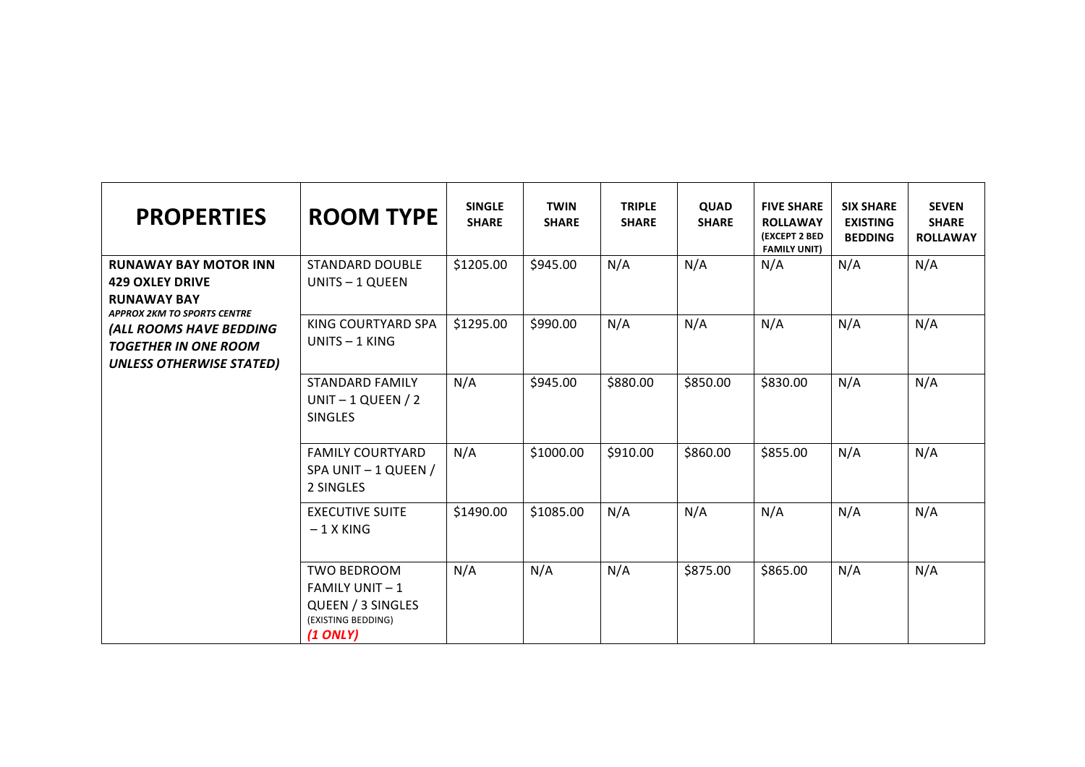| <b>PROPERTIES</b>                                                                                                  | <b>ROOM TYPE</b>                                                                                    | <b>SINGLE</b><br><b>SHARE</b> | <b>TWIN</b><br><b>SHARE</b> | <b>TRIPLE</b><br><b>SHARE</b> | <b>QUAD</b><br><b>SHARE</b> | <b>FIVE SHARE</b><br><b>ROLLAWAY</b><br>(EXCEPT 2 BED<br><b>FAMILY UNIT)</b> | <b>SIX SHARE</b><br><b>EXISTING</b><br><b>BEDDING</b> | <b>SEVEN</b><br><b>SHARE</b><br><b>ROLLAWAY</b> |
|--------------------------------------------------------------------------------------------------------------------|-----------------------------------------------------------------------------------------------------|-------------------------------|-----------------------------|-------------------------------|-----------------------------|------------------------------------------------------------------------------|-------------------------------------------------------|-------------------------------------------------|
| <b>RUNAWAY BAY MOTOR INN</b><br><b>429 OXLEY DRIVE</b><br><b>RUNAWAY BAY</b><br><b>APPROX 2KM TO SPORTS CENTRE</b> | <b>STANDARD DOUBLE</b><br>UNITS - 1 QUEEN                                                           | \$1205.00                     | \$945.00                    | N/A                           | N/A                         | N/A                                                                          | N/A                                                   | N/A                                             |
| (ALL ROOMS HAVE BEDDING<br><b>TOGETHER IN ONE ROOM</b><br><b>UNLESS OTHERWISE STATED)</b>                          | KING COURTYARD SPA<br>UNITS $-1$ KING                                                               | \$1295.00                     | \$990.00                    | N/A                           | N/A                         | N/A                                                                          | N/A                                                   | N/A                                             |
|                                                                                                                    | <b>STANDARD FAMILY</b><br>UNIT $-1$ QUEEN / 2<br><b>SINGLES</b>                                     | N/A                           | \$945.00                    | \$880.00                      | \$850.00                    | \$830.00                                                                     | N/A                                                   | N/A                                             |
|                                                                                                                    | <b>FAMILY COURTYARD</b><br>SPA UNIT - 1 QUEEN /<br>2 SINGLES                                        | N/A                           | \$1000.00                   | \$910.00                      | \$860.00                    | \$855.00                                                                     | N/A                                                   | N/A                                             |
|                                                                                                                    | <b>EXECUTIVE SUITE</b><br>$-1$ X KING                                                               | \$1490.00                     | \$1085.00                   | N/A                           | N/A                         | N/A                                                                          | N/A                                                   | N/A                                             |
|                                                                                                                    | <b>TWO BEDROOM</b><br><b>FAMILY UNIT-1</b><br>QUEEN / 3 SINGLES<br>(EXISTING BEDDING)<br>$(1$ ONLY) | N/A                           | N/A                         | N/A                           | \$875.00                    | \$865.00                                                                     | N/A                                                   | N/A                                             |